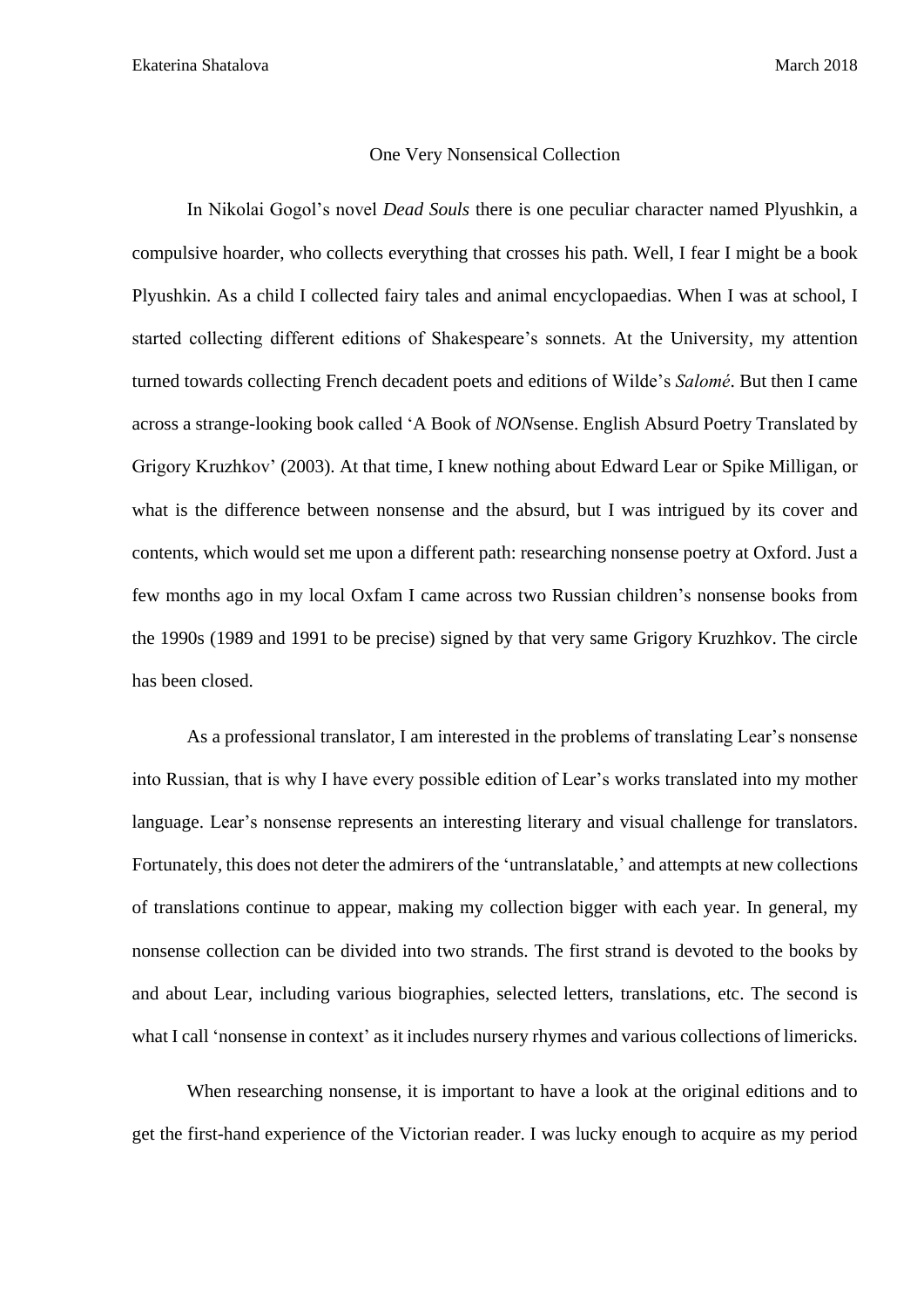## One Very Nonsensical Collection

In Nikolai Gogol's novel *Dead Souls* there is one peculiar character named Plyushkin, a compulsive hoarder, who collects everything that crosses his path. Well, I fear I might be a book Plyushkin. As a child I collected fairy tales and animal encyclopaedias. When I was at school, I started collecting different editions of Shakespeare's sonnets. At the University, my attention turned towards collecting French decadent poets and editions of Wilde's *Salomé*. But then I came across a strange-looking book called 'A Book of *NON*sense. English Absurd Poetry Translated by Grigory Kruzhkov' (2003). At that time, I knew nothing about Edward Lear or Spike Milligan, or what is the difference between nonsense and the absurd, but I was intrigued by its cover and contents, which would set me upon a different path: researching nonsense poetry at Oxford. Just a few months ago in my local Oxfam I came across two Russian children's nonsense books from the 1990s (1989 and 1991 to be precise) signed by that very same Grigory Kruzhkov. The circle has been closed.

As a professional translator, I am interested in the problems of translating Lear's nonsense into Russian, that is why I have every possible edition of Lear's works translated into my mother language. Lear's nonsense represents an interesting literary and visual challenge for translators. Fortunately, this does not deter the admirers of the 'untranslatable,' and attempts at new collections of translations continue to appear, making my collection bigger with each year. In general, my nonsense collection can be divided into two strands. The first strand is devoted to the books by and about Lear, including various biographies, selected letters, translations, etc. The second is what I call 'nonsense in context' as it includes nursery rhymes and various collections of limericks.

When researching nonsense, it is important to have a look at the original editions and to get the first-hand experience of the Victorian reader. I was lucky enough to acquire as my period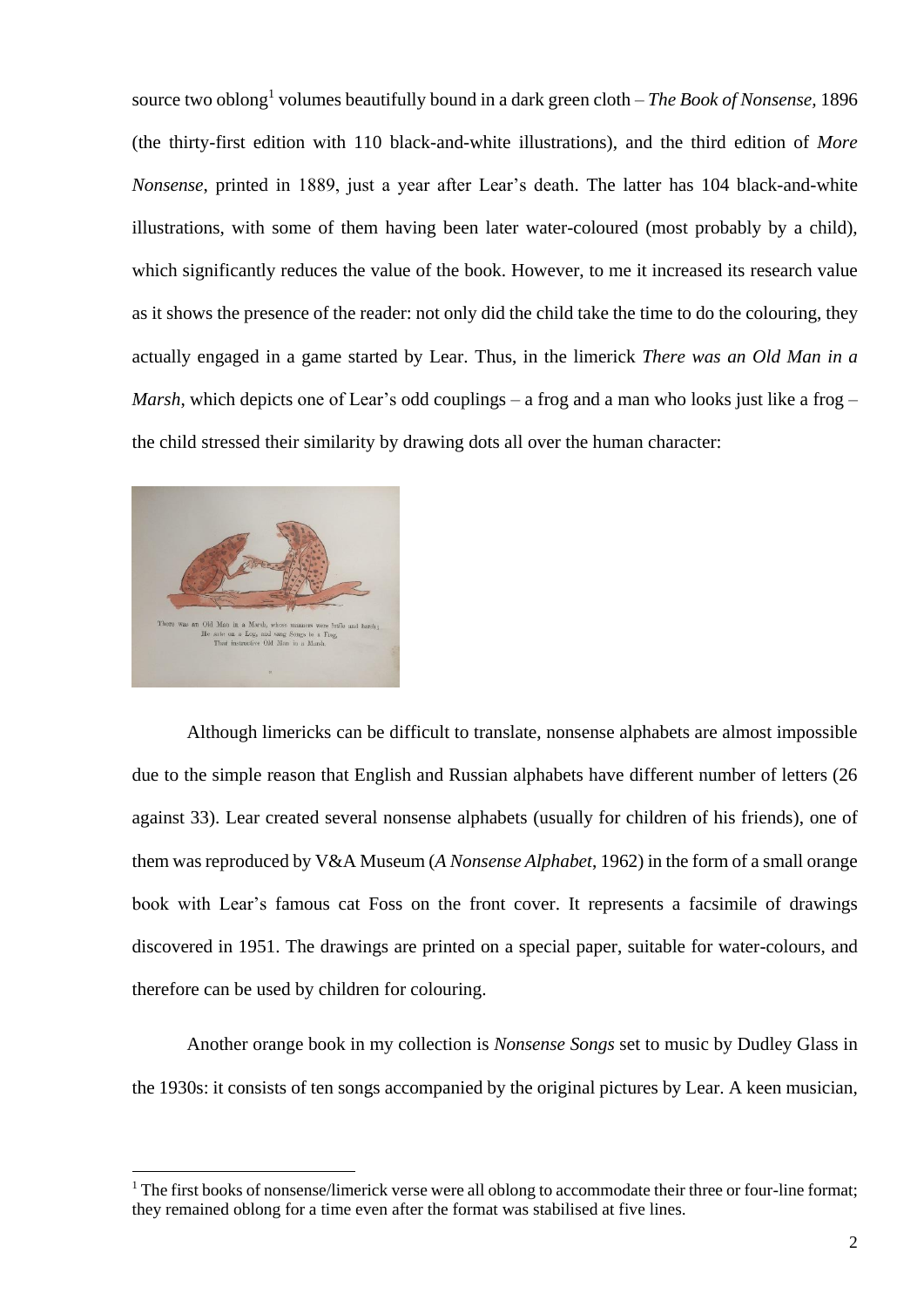source two oblong<sup>1</sup> volumes beautifully bound in a dark green cloth – *The Book of Nonsense,* 1896 (the thirty-first edition with 110 black-and-white illustrations), and the third edition of *More Nonsense*, printed in 1889, just a year after Lear's death. The latter has 104 black-and-white illustrations, with some of them having been later water-coloured (most probably by a child), which significantly reduces the value of the book. However, to me it increased its research value as it shows the presence of the reader: not only did the child take the time to do the colouring, they actually engaged in a game started by Lear. Thus, in the limerick *There was an Old Man in a Marsh*, which depicts one of Lear's odd couplings – a frog and a man who looks just like a frog – the child stressed their similarity by drawing dots all over the human character:



**.** 

Although limericks can be difficult to translate, nonsense alphabets are almost impossible due to the simple reason that English and Russian alphabets have different number of letters (26 against 33). Lear created several nonsense alphabets (usually for children of his friends), one of them was reproduced by V&A Museum (*A Nonsense Alphabet*, 1962) in the form of a small orange book with Lear's famous cat Foss on the front cover. It represents a facsimile of drawings discovered in 1951. The drawings are printed on a special paper, suitable for water-colours, and therefore can be used by children for colouring.

Another orange book in my collection is *Nonsense Songs* set to music by Dudley Glass in the 1930s: it consists of ten songs accompanied by the original pictures by Lear. A keen musician,

 $1$  The first books of nonsense/limerick verse were all oblong to accommodate their three or four-line format; they remained oblong for a time even after the format was stabilised at five lines.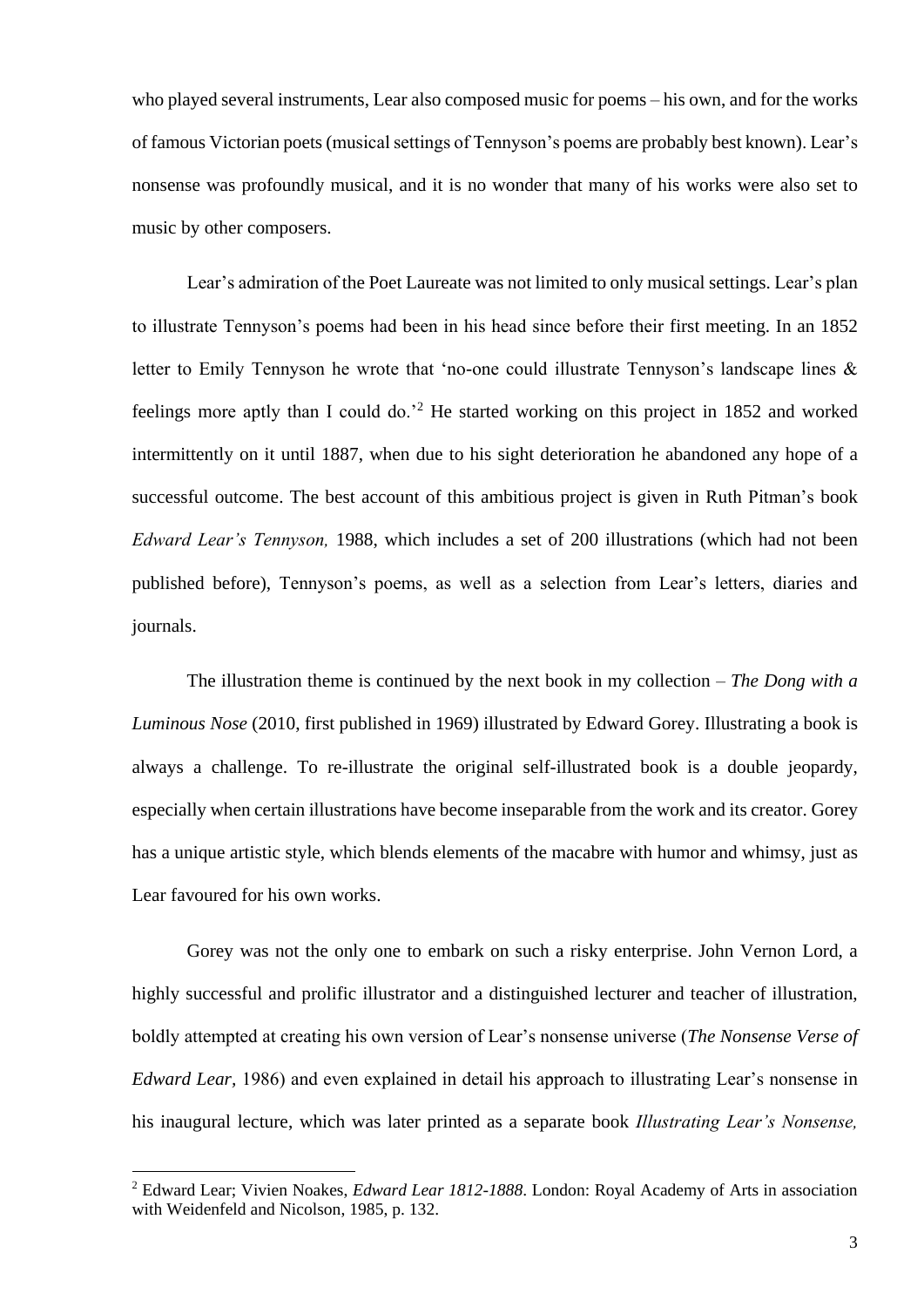who played several instruments, Lear also composed music for poems – his own, and for the works of famous Victorian poets(musical settings of Tennyson's poems are probably best known). Lear's nonsense was profoundly musical, and it is no wonder that many of his works were also set to music by other composers.

Lear's admiration of the Poet Laureate was not limited to only musical settings. Lear's plan to illustrate Tennyson's poems had been in his head since before their first meeting. In an 1852 letter to Emily Tennyson he wrote that 'no-one could illustrate Tennyson's landscape lines & feelings more aptly than I could do.'<sup>2</sup> He started working on this project in 1852 and worked intermittently on it until 1887, when due to his sight deterioration he abandoned any hope of a successful outcome. The best account of this ambitious project is given in Ruth Pitman's book *Edward Lear's Tennyson,* 1988, which includes a set of 200 illustrations (which had not been published before), Tennyson's poems, as well as a selection from Lear's letters, diaries and journals.

The illustration theme is continued by the next book in my collection – *The Dong with a Luminous Nose* (2010, first published in 1969) illustrated by Edward Gorey. Illustrating a book is always a challenge. To re-illustrate the original self-illustrated book is a double jeopardy, especially when certain illustrations have become inseparable from the work and its creator. Gorey has a unique artistic style, which blends elements of the macabre with humor and whimsy, just as Lear favoured for his own works.

Gorey was not the only one to embark on such a risky enterprise. John Vernon Lord, a highly successful and prolific illustrator and a distinguished lecturer and teacher of illustration, boldly attempted at creating his own version of Lear's nonsense universe (*The Nonsense Verse of Edward Lear,* 1986) and even explained in detail his approach to illustrating Lear's nonsense in his inaugural lecture, which was later printed as a separate book *Illustrating Lear's Nonsense,* 

**.** 

<sup>2</sup> Edward Lear; Vivien Noakes, *Edward Lear 1812-1888*. London: Royal Academy of Arts in association with Weidenfeld and Nicolson, 1985, p. 132.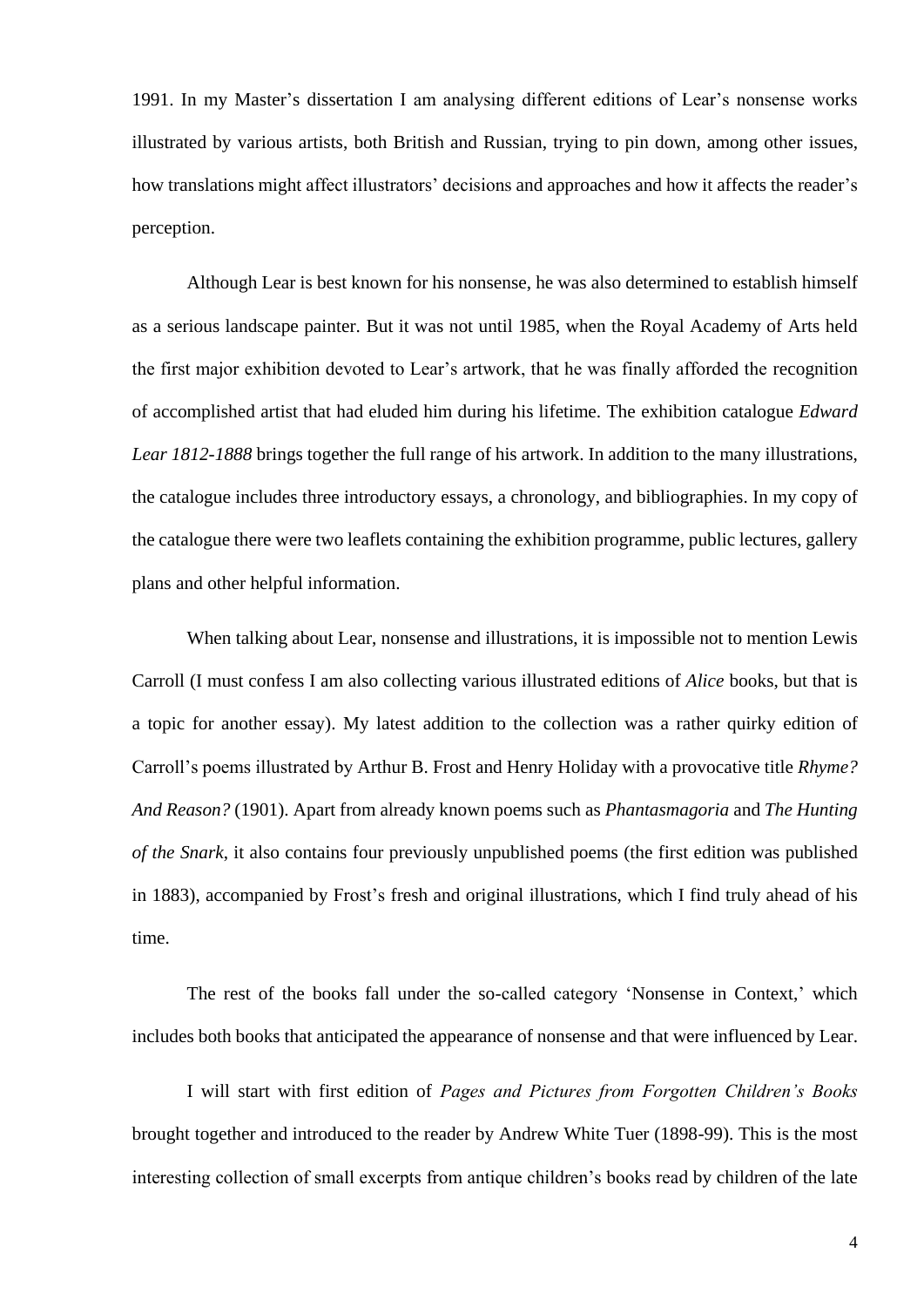1991. In my Master's dissertation I am analysing different editions of Lear's nonsense works illustrated by various artists, both British and Russian, trying to pin down, among other issues, how translations might affect illustrators' decisions and approaches and how it affects the reader's perception.

Although Lear is best known for his nonsense, he was also determined to establish himself as a serious landscape painter. But it was not until 1985, when the Royal Academy of Arts held the first major exhibition devoted to Lear's artwork, that he was finally afforded the recognition of accomplished artist that had eluded him during his lifetime. The exhibition catalogue *Edward Lear 1812-1888* brings together the full range of his artwork. In addition to the many illustrations, the catalogue includes three introductory essays, a chronology, and bibliographies. In my copy of the catalogue there were two leaflets containing the exhibition programme, public lectures, gallery plans and other helpful information.

When talking about Lear, nonsense and illustrations, it is impossible not to mention Lewis Carroll (I must confess I am also collecting various illustrated editions of *Alice* books, but that is a topic for another essay). My latest addition to the collection was a rather quirky edition of Carroll's poems illustrated by Arthur B. Frost and Henry Holiday with a provocative title *Rhyme? And Reason?* (1901). Apart from already known poems such as *Phantasmagoria* and *The Hunting of the Snark*, it also contains four previously unpublished poems (the first edition was published in 1883), accompanied by Frost's fresh and original illustrations, which I find truly ahead of his time.

The rest of the books fall under the so-called category 'Nonsense in Context,' which includes both books that anticipated the appearance of nonsense and that were influenced by Lear.

I will start with first edition of *Pages and Pictures from Forgotten Children's Books* brought together and introduced to the reader by Andrew White Tuer (1898-99). This is the most interesting collection of small excerpts from antique children's books read by children of the late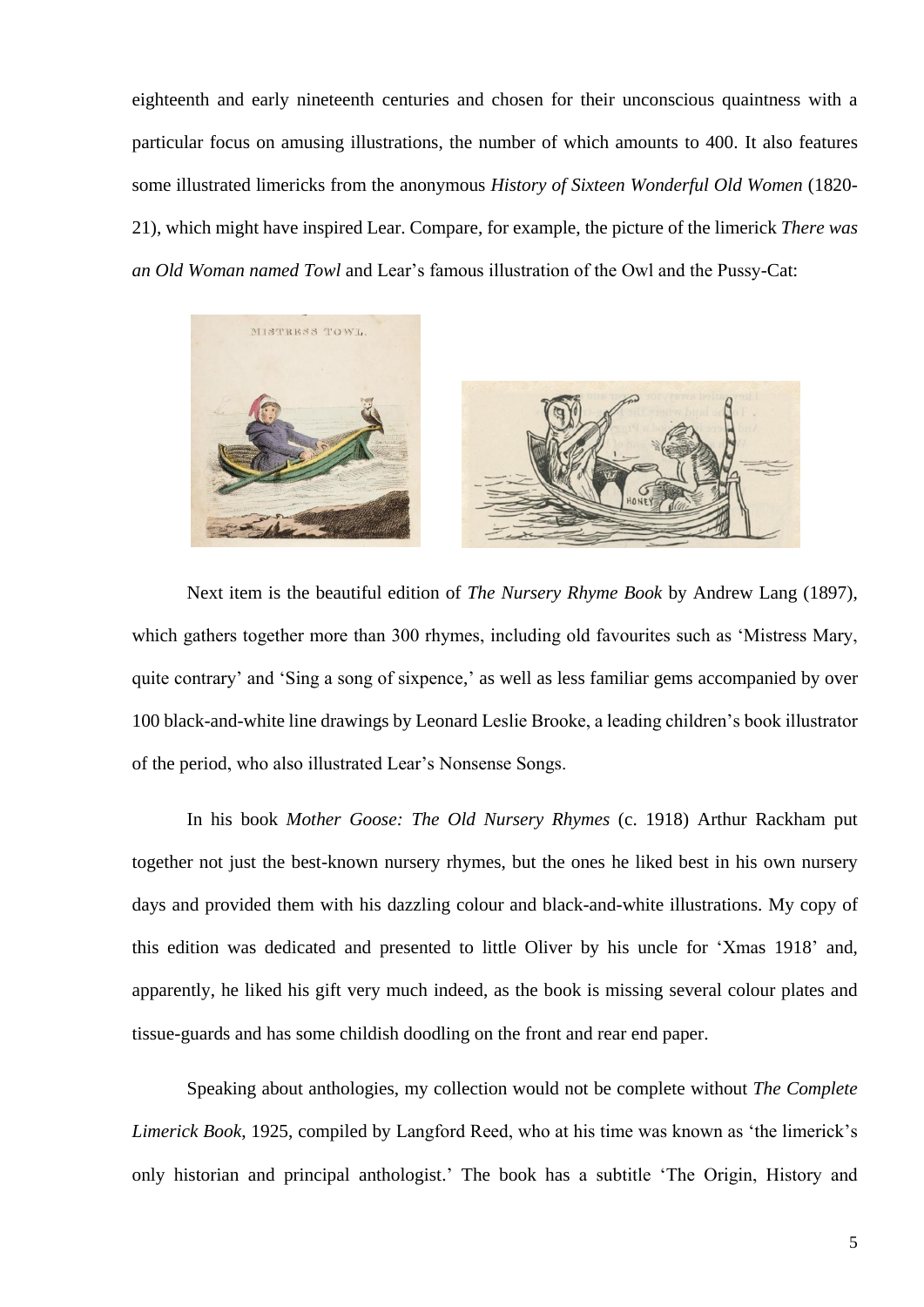eighteenth and early nineteenth centuries and chosen for their unconscious quaintness with a particular focus on amusing illustrations, the number of which amounts to 400. It also features some illustrated limericks from the anonymous *History of Sixteen Wonderful Old Women* (1820- 21), which might have inspired Lear. Compare, for example, the picture of the limerick *There was an Old Woman named Towl* and Lear's famous illustration of the Owl and the Pussy-Cat:



Next item is the beautiful edition of *The Nursery Rhyme Book* by Andrew Lang (1897), which gathers together more than 300 rhymes, including old favourites such as 'Mistress Mary, quite contrary' and 'Sing a song of sixpence,' as well as less familiar gems accompanied by over 100 black-and-white line drawings by Leonard Leslie Brooke, a leading children's book illustrator of the period, who also illustrated Lear's Nonsense Songs.

In his book *Mother Goose: The Old Nursery Rhymes* (c. 1918) Arthur Rackham put together not just the best-known nursery rhymes, but the ones he liked best in his own nursery days and provided them with his dazzling colour and black-and-white illustrations. My copy of this edition was dedicated and presented to little Oliver by his uncle for 'Xmas 1918' and, apparently, he liked his gift very much indeed, as the book is missing several colour plates and tissue-guards and has some childish doodling on the front and rear end paper.

Speaking about anthologies, my collection would not be complete without *The Complete Limerick Book*, 1925, compiled by Langford Reed, who at his time was known as 'the limerick's only historian and principal anthologist.' The book has a subtitle 'The Origin, History and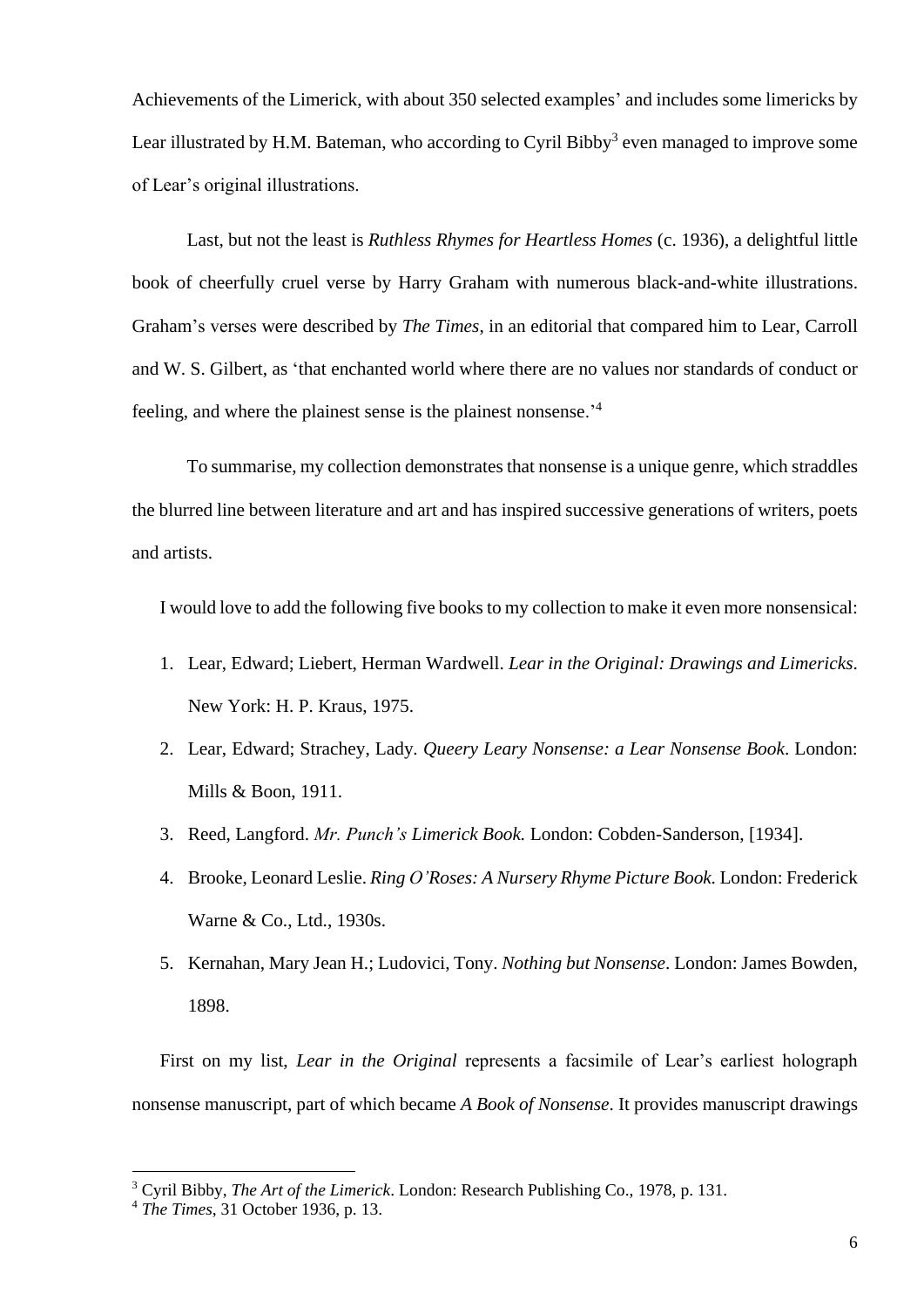Achievements of the Limerick, with about 350 selected examples' and includes some limericks by Lear illustrated by H.M. Bateman, who according to Cyril Bibby<sup>3</sup> even managed to improve some of Lear's original illustrations.

Last, but not the least is *Ruthless Rhymes for Heartless Homes* (c. 1936), a delightful little book of cheerfully cruel verse by Harry Graham with numerous black-and-white illustrations. Graham's verses were described by *The Times*, in an editorial that compared him to Lear, Carroll and W. S. Gilbert, as 'that enchanted world where there are no values nor standards of conduct or feeling, and where the plainest sense is the plainest nonsense.'<sup>4</sup>

To summarise, my collection demonstrates that nonsense is a unique genre, which straddles the blurred line between literature and art and has inspired successive generations of writers, poets and artists.

I would love to add the following five books to my collection to make it even more nonsensical:

- 1. Lear, Edward; Liebert, Herman Wardwell. *Lear in the Original: Drawings and Limericks*. New York: H. P. Kraus, 1975.
- 2. Lear, Edward; Strachey, Lady*. Queery Leary Nonsense: a Lear Nonsense Book*. London: Mills & Boon, 1911.
- 3. Reed, Langford. *Mr. Punch's Limerick Book.* London: Cobden-Sanderson, [1934].
- 4. Brooke, Leonard Leslie. *Ring O'Roses: A Nursery Rhyme Picture Book.* London: Frederick Warne & Co., Ltd., 1930s.
- 5. Kernahan, Mary Jean H.; Ludovici, Tony. *Nothing but Nonsense*. London: James Bowden, 1898.

First on my list, *Lear in the Original* represents a facsimile of Lear's earliest holograph nonsense manuscript, part of which became *A Book of Nonsense*. It provides manuscript drawings

**.** 

<sup>3</sup> Cyril Bibby, *The Art of the Limerick*. London: Research Publishing Co., 1978, p. 131.

<sup>4</sup> *The Times*, 31 October 1936, p. 13.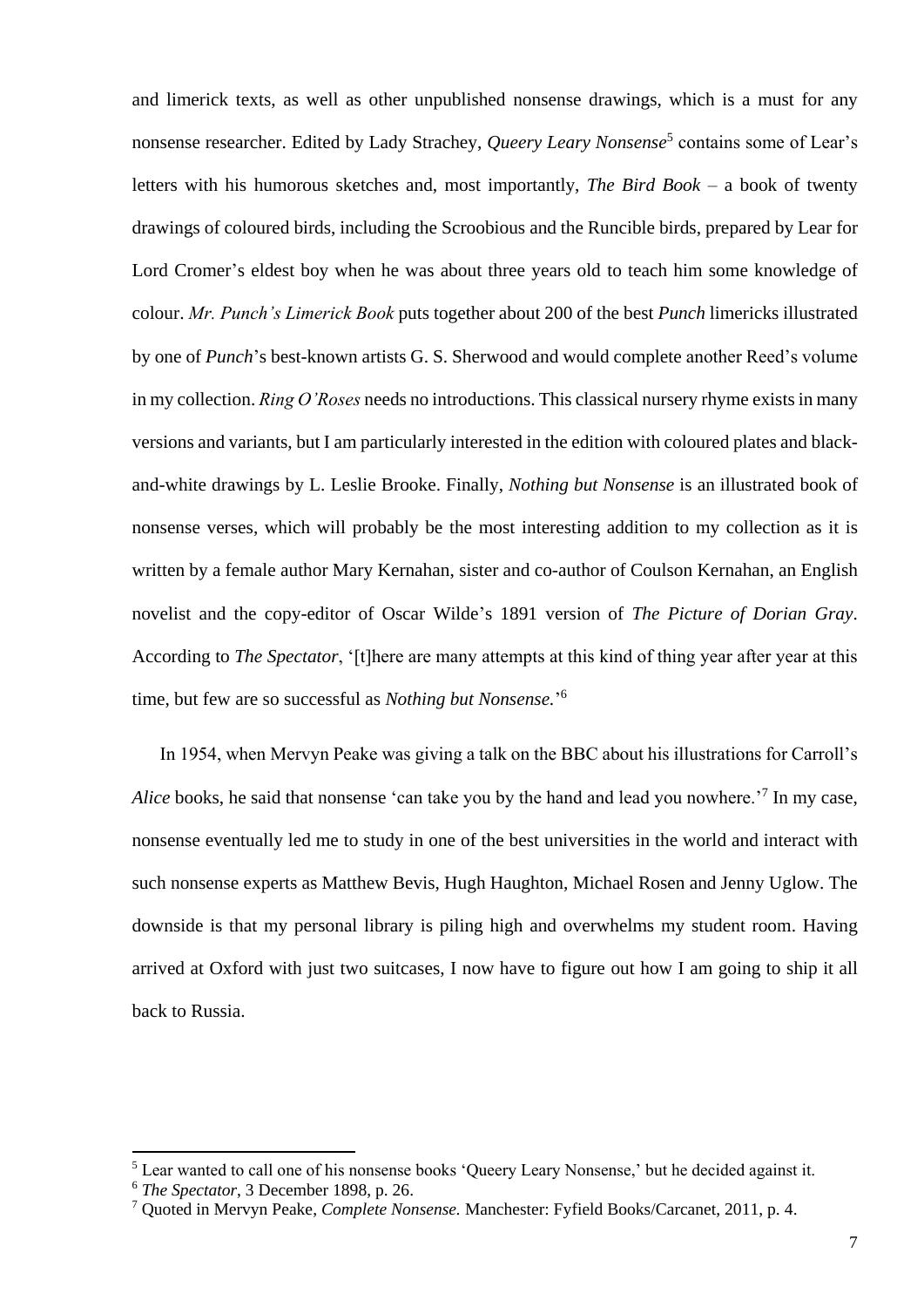and limerick texts, as well as other unpublished nonsense drawings, which is a must for any nonsense researcher. Edited by Lady Strachey, *Queery Leary Nonsense*<sup>5</sup> contains some of Lear's letters with his humorous sketches and, most importantly, *The Bird Book –* a book of twenty drawings of coloured birds, including the Scroobious and the Runcible birds, prepared by Lear for Lord Cromer's eldest boy when he was about three years old to teach him some knowledge of colour. *Mr. Punch's Limerick Book* puts together about 200 of the best *Punch* limericks illustrated by one of *Punch*'s best-known artists G. S. Sherwood and would complete another Reed's volume in my collection. *Ring O'Roses* needs no introductions. This classical nursery rhyme exists in many versions and variants, but I am particularly interested in the edition with coloured plates and blackand-white drawings by L. Leslie Brooke. Finally, *Nothing but Nonsense* is an illustrated book of nonsense verses, which will probably be the most interesting addition to my collection as it is written by a female author Mary Kernahan, sister and co-author of Coulson Kernahan, an English novelist and the copy-editor of Oscar Wilde's 1891 version of *The Picture of Dorian Gray*. According to *The Spectator*, '[t]here are many attempts at this kind of thing year after year at this time, but few are so successful as *Nothing but Nonsense.*' 6

In 1954, when Mervyn Peake was giving a talk on the BBC about his illustrations for Carroll's Alice books, he said that nonsense 'can take you by the hand and lead you nowhere.<sup>'7</sup> In my case, nonsense eventually led me to study in one of the best universities in the world and interact with such nonsense experts as Matthew Bevis, Hugh Haughton, Michael Rosen and Jenny Uglow. The downside is that my personal library is piling high and overwhelms my student room. Having arrived at Oxford with just two suitcases, I now have to figure out how I am going to ship it all back to Russia.

1

 $<sup>5</sup>$  Lear wanted to call one of his nonsense books 'Queery Leary Nonsense,' but he decided against it.</sup>

<sup>6</sup> *The Spectator*, 3 December 1898, p. 26.

<sup>7</sup> Quoted in Mervyn Peake, *Complete Nonsense.* Manchester: Fyfield Books/Carcanet, 2011, p. 4.